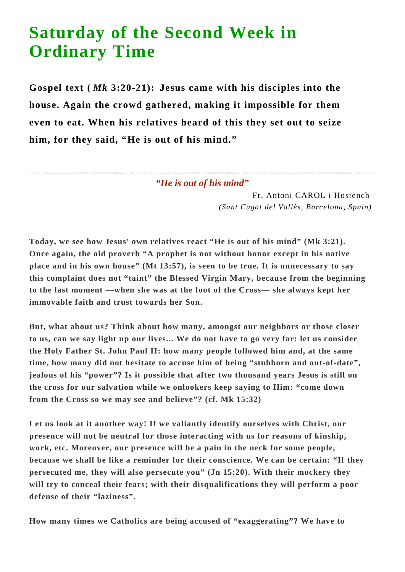## **Saturday of the Second Week in Ordinary Time**

**Gospel text (** *Mk* **3:20-21): Jesus came with his disciples into the house. Again the crowd gathered, making it impossible for them even to eat. When his relatives heard of this they set out to seize him, for they said, "He is out of his mind."**

*"He is out of his mind"*

Fr. Antoni CAROL i Hostench *(Sant Cugat del Vallès, Barcelona, Spain)*

**Today, we see how Jesus' own relatives react "He is out of his mind" (Mk 3:21). Once again, the old proverb "A prophet is not without honor except in his native place and in his own house" (Mt 13:57), is seen to be true. It is unnecessary to say this complaint does not "taint" the Blessed Virgin Mary, because from the beginning to the last moment —when she was at the foot of the Cross— she always kept her immovable faith and trust towards her Son.**

**But, what about us? Think about how many, amongst our neighbors or those closer to us, can we say light up our lives... We do not have to go very far: let us consider the Holy Father St. John Paul II: how many people followed him and, at the same time, how many did not hesitate to accuse him of being "stubborn and out-of-date", jealous of his "power"? Is it possible that after two thousand years Jesus is still on the cross for our salvation while we onlookers keep saying to Him: "come down from the Cross so we may see and believe"? (cf. Mk 15:32)**

**Let us look at it another way! If we valiantly identify ourselves with Christ, our presence will not be neutral for those interacting with us for reasons of kinship, work, etc. Moreover, our presence will be a pain in the neck for some people, because we shall be like a reminder for their conscience. We can be certain: "If they persecuted me, they will also persecute you" (Jn 15:20). With their mockery they will try to conceal their fears; with their disqualifications they will perform a poor defense of their "laziness".**

**How many times we Catholics are being accused of "exaggerating"? We have to**